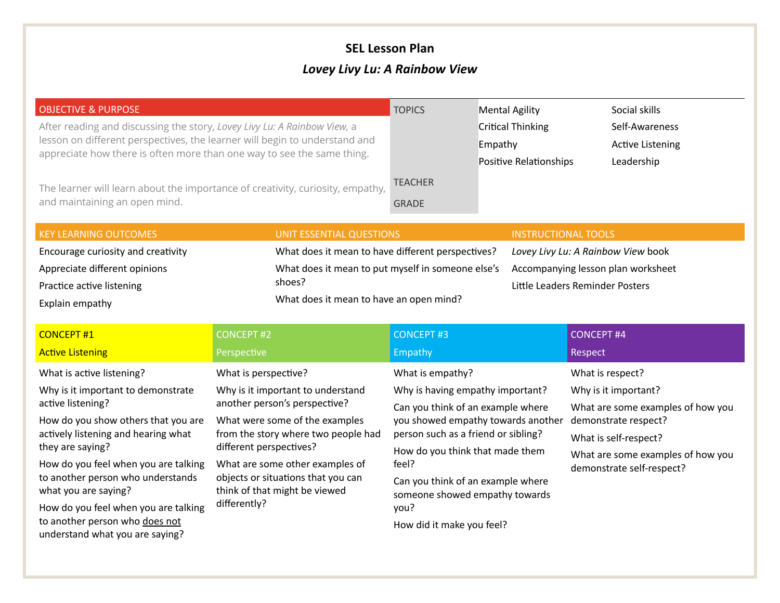## **SEL Lesson Plan**

## *Lovey Livy Lu: A Rainbow View*

| <b>OBJECTIVE &amp; PURPOSE</b><br>After reading and discussing the story, Lovey Livy Lu: A Rainbow View, a                                           |                                                                                                        | <b>TOPICS</b>                  | <b>Mental Agility</b><br><b>Critical Thinking</b> | Social skills<br>Self-Awareness                                          |  |
|------------------------------------------------------------------------------------------------------------------------------------------------------|--------------------------------------------------------------------------------------------------------|--------------------------------|---------------------------------------------------|--------------------------------------------------------------------------|--|
| lesson on different perspectives, the learner will begin to understand and<br>appreciate how there is often more than one way to see the same thing. |                                                                                                        |                                | Empathy<br>Positive Relationships                 | <b>Active Listening</b><br>Leadership                                    |  |
| The learner will learn about the importance of creativity, curiosity, empathy,<br>and maintaining an open mind.                                      |                                                                                                        | <b>TEACHER</b><br><b>GRADE</b> |                                                   |                                                                          |  |
| <b>KEY LEARNING OUTCOMES</b>                                                                                                                         | UNIT ESSENTIAL QUESTIONS                                                                               |                                | <b>INSTRUCTIONAL TOOLS</b>                        |                                                                          |  |
| Encourage curiosity and creativity                                                                                                                   | What does it mean to have different perspectives?<br>What does it mean to put myself in someone else's |                                |                                                   | Lovey Livy Lu: A Rainbow View book<br>Accompanying lesson plan worksheet |  |
| Appreciate different opinions                                                                                                                        |                                                                                                        |                                |                                                   |                                                                          |  |
| Practice active listening                                                                                                                            | shoes?                                                                                                 |                                |                                                   | Little Leaders Reminder Posters                                          |  |
| Explain empathy                                                                                                                                      | What does it mean to have an open mind?                                                                |                                |                                                   |                                                                          |  |

| <b>CONCEPT#1</b>                                                  | <b>CONCEPT #2</b>                                                                                                      | <b>CONCEPT #3</b>                                                   | <b>CONCEPT #4</b>                                              |
|-------------------------------------------------------------------|------------------------------------------------------------------------------------------------------------------------|---------------------------------------------------------------------|----------------------------------------------------------------|
| <b>Active Listening</b>                                           | Perspective                                                                                                            | Empathy                                                             | Respect                                                        |
| What is active listening?                                         | What is perspective?                                                                                                   | What is empathy?                                                    | What is respect?                                               |
| Why is it important to demonstrate                                | Why is it important to understand                                                                                      | Why is having empathy important?                                    | Why is it important?                                           |
| active listening?                                                 | another person's perspective?                                                                                          | Can you think of an example where                                   | What are some examples of how you                              |
| How do you show others that you are                               | What were some of the examples                                                                                         | you showed empathy towards another                                  | demonstrate respect?                                           |
| actively listening and hearing what                               | from the story where two people had                                                                                    | person such as a friend or sibling?                                 | What is self-respect?                                          |
| they are saying?                                                  | different perspectives?                                                                                                | How do you think that made them                                     | What are some examples of how you<br>demonstrate self-respect? |
| How do you feel when you are talking                              | What are some other examples of<br>objects or situations that you can<br>think of that might be viewed<br>differently? | feel?                                                               |                                                                |
| to another person who understands<br>what you are saying?         |                                                                                                                        | Can you think of an example where<br>someone showed empathy towards |                                                                |
| How do you feel when you are talking                              |                                                                                                                        | you?                                                                |                                                                |
| to another person who does not<br>understand what you are saying? |                                                                                                                        | How did it make you feel?                                           |                                                                |